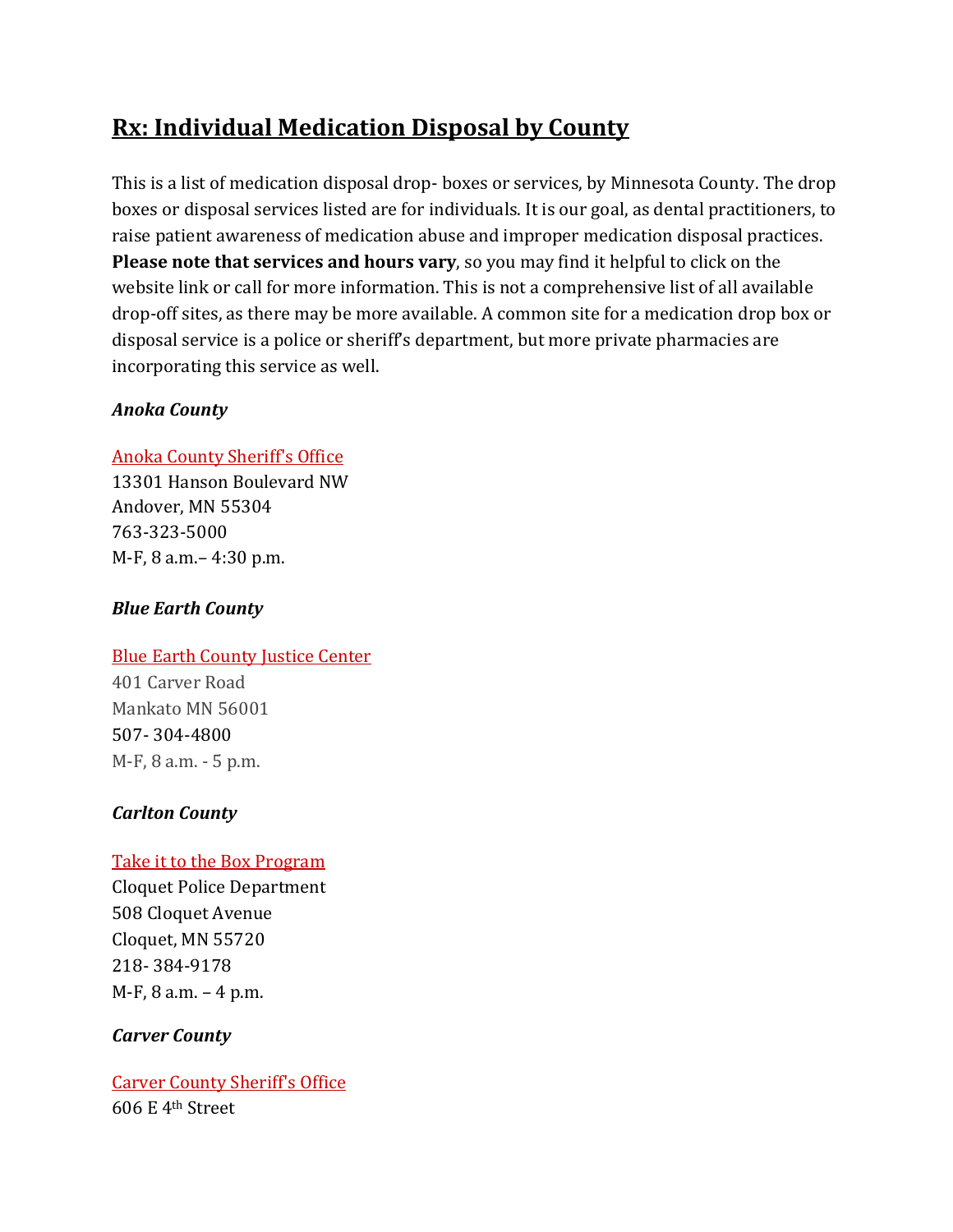# **Rx: Individual Medication Disposal by County**

This is a list of medication disposal drop‐ boxes or services, by Minnesota County. The drop boxes or disposal services listed are for individuals. It is our goal, as dental practitioners, to raise patient awareness of medication abuse and improper medication disposal practices. **Please note that services and hours vary**, so you may find it helpful to click on the website link or call for more information. This is not a comprehensive list of all available drop‐off sites, as there may be more available. A common site for a medication drop box or disposal service is a police or sheriff's department, but more private pharmacies are incorporating this service as well.

# *Anoka County*

# Anoka County Sheriff's Office

13301 Hanson Boulevard NW Andover, MN 55304 763‐323‐5000 M‐F, 8 a.m.– 4:30 p.m.

# *Blue Earth County*

# **Blue Earth County Justice Center**

401 Carver Road Mankato MN 56001 507‐ 304‐4800 M‐F, 8 a.m. ‐ 5 p.m.

# *Carlton County*

# Take it to the Box Program

Cloquet Police Department 508 Cloquet Avenue Cloquet, MN 55720 218‐ 384‐9178 M‐F, 8 a.m. – 4 p.m.

# *Carver County*

Carver County Sheriff's Office 606 E 4th Street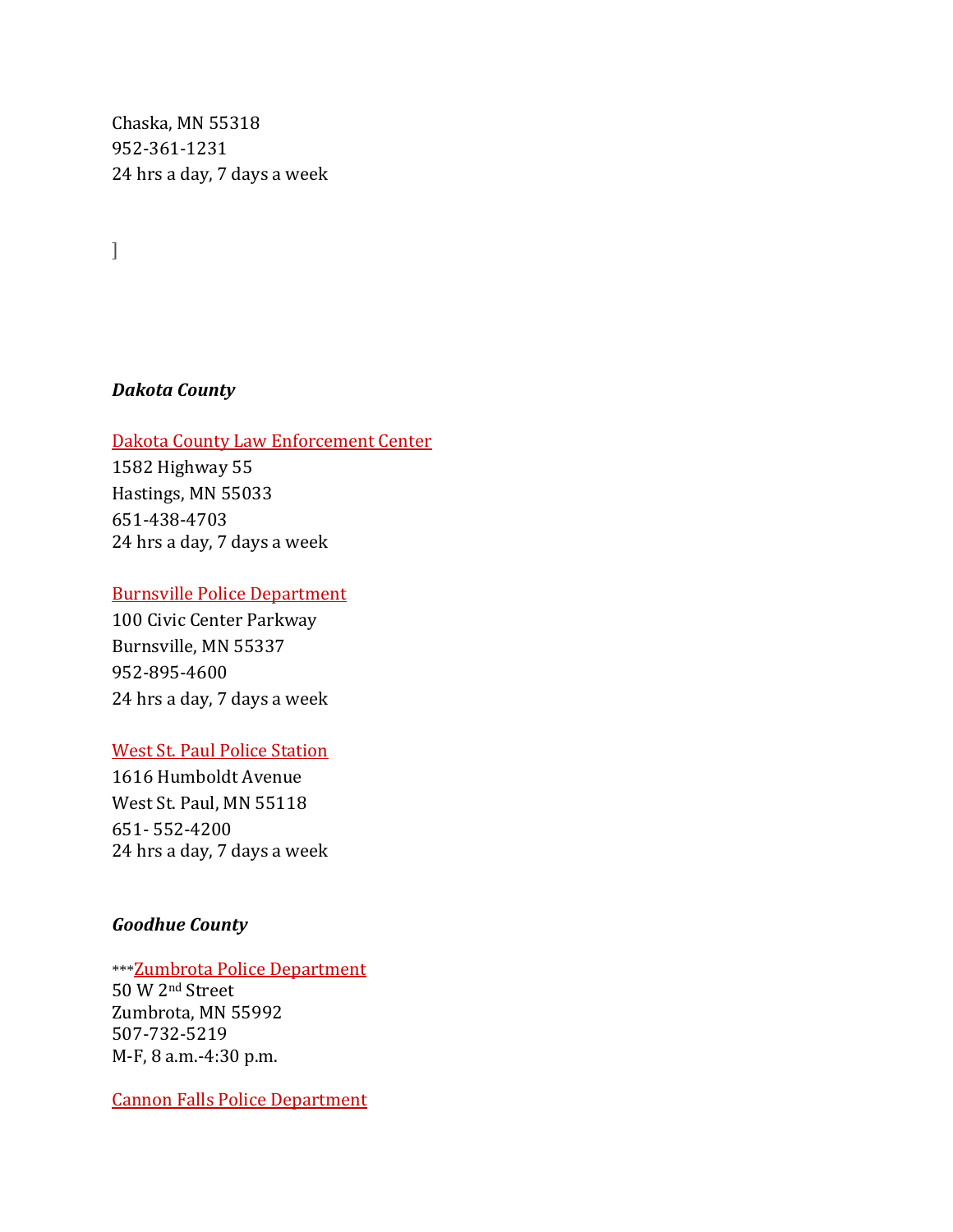Chaska, MN 55318 952‐361‐1231 24 hrs a day, 7 days a week

]

## *Dakota County*

#### Dakota County Law Enforcement Center

1582 Highway 55 Hastings, MN 55033 651‐438‐4703 24 hrs a day, 7 days a week

## Burnsville Police Department

100 Civic Center Parkway Burnsville, MN 55337 952‐895‐4600 24 hrs a day, 7 days a week

#### West St. Paul Police Station

1616 Humboldt Avenue West St. Paul, MN 55118 651‐ 552‐4200 24 hrs a day, 7 days a week

## *Goodhue County*

#### \*\*\*Zumbrota Police Department 50 W 2nd Street

Zumbrota, MN 55992 507‐732‐5219 M‐F, 8 a.m.‐4:30 p.m.

Cannon Falls Police Department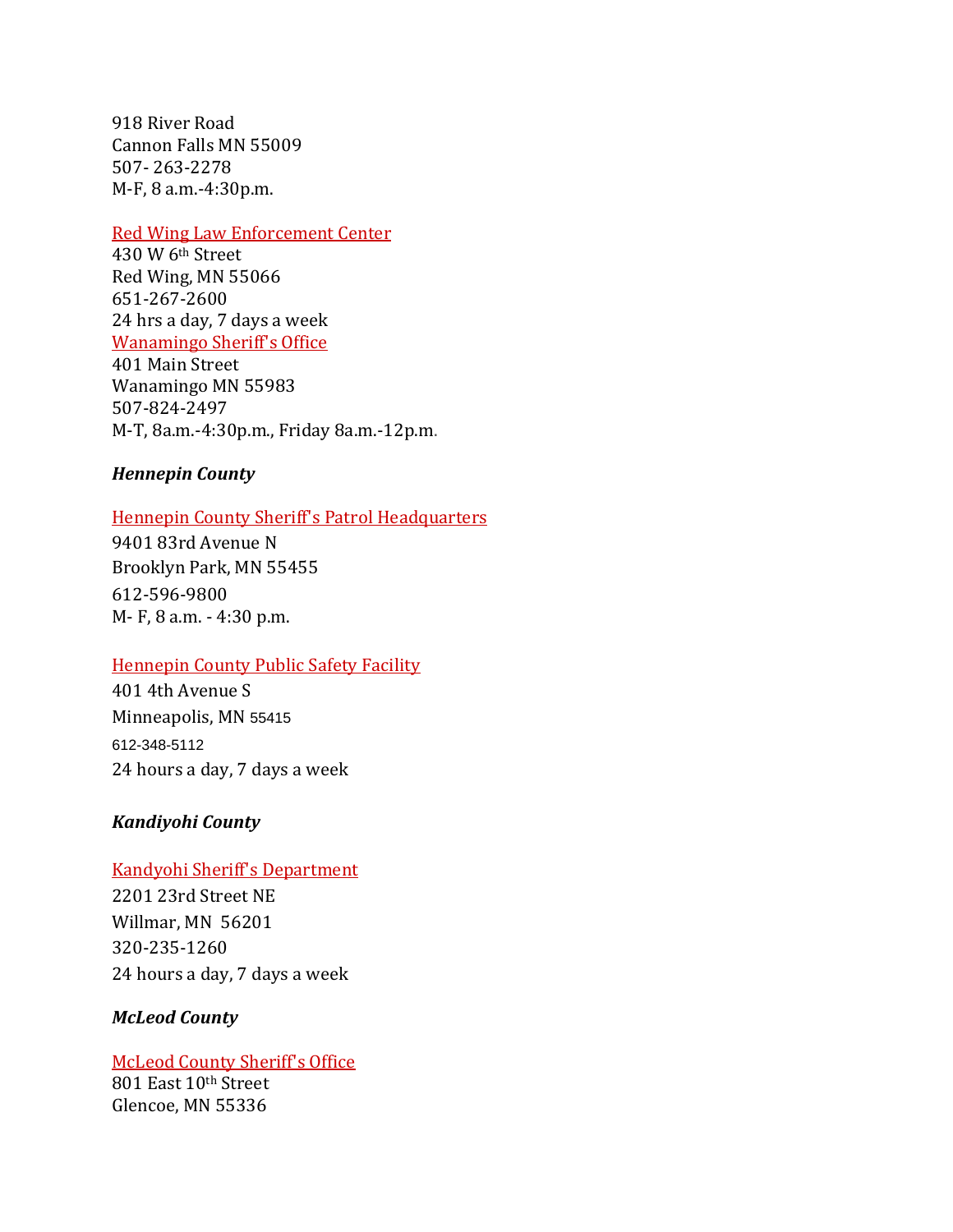918 River Road Cannon Falls MN 55009 507‐ 263‐2278 M‐F, 8 a.m.‐4:30p.m.

#### Red Wing Law Enforcement Center

430 W 6th Street Red Wing, MN 55066 651‐267‐2600 24 hrs a day, 7 days a week Wanamingo Sheriff's Office

401 Main Street Wanamingo MN 55983 507‐824‐2497 M‐T, 8a.m.‐4:30p.m., Friday 8a.m.‐12p.m.

## *Hennepin County*

## Hennepin County Sheriff's Patrol Headquarters

9401 83rd Avenue N Brooklyn Park, MN 55455 612‐596‐9800 M‐ F, 8 a.m. ‐ 4:30 p.m.

## Hennepin County Public Safety Facility

401 4th Avenue S Minneapolis, MN 55415 612-348-5112 24 hours a day, 7 days a week

## *Kandiyohi County*

# Kandyohi Sheriff's Department

2201 23rd Street NE Willmar, MN 56201 320‐235‐1260 24 hours a day, 7 days a week

## *McLeod County*

McLeod County Sheriff's Office 801 East 10th Street Glencoe, MN 55336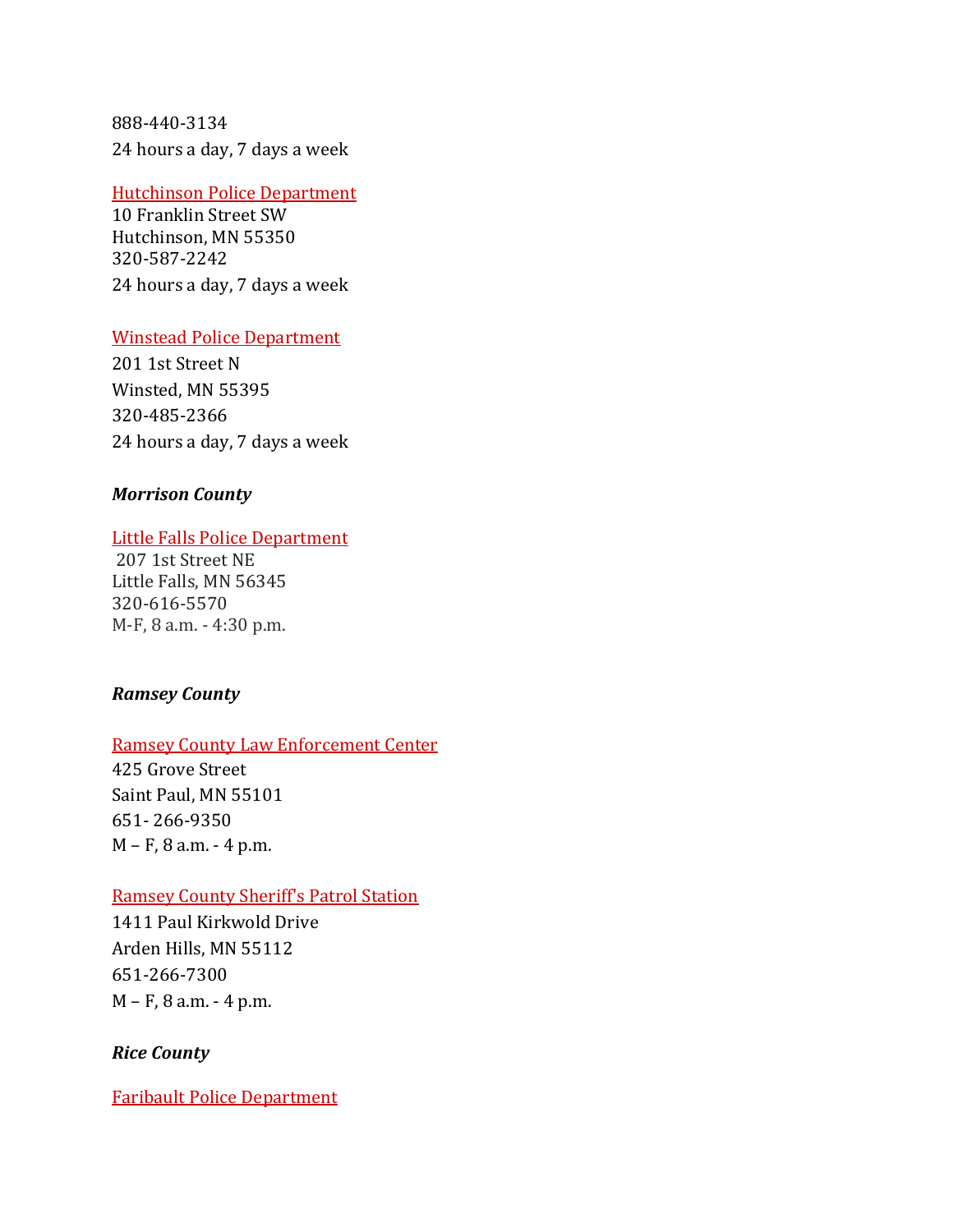888‐440‐3134 24 hours a day, 7 days a week

#### Hutchinson Police Department

10 Franklin Street SW Hutchinson, MN 55350 320‐587‐2242 24 hours a day, 7 days a week

## Winstead Police Department

201 1st Street N Winsted, MN 55395 320‐485‐2366 24 hours a day, 7 days a week

## *Morrison County*

## Little Falls Police Department

 207 1st Street NE Little Falls, MN 56345 320‐616‐5570 M‐F, 8 a.m. ‐ 4:30 p.m.

## *Ramsey County*

## Ramsey County Law Enforcement Center

425 Grove Street Saint Paul, MN 55101 651‐ 266‐9350 M – F, 8 a.m. ‐ 4 p.m.

## Ramsey County Sheriff's Patrol Station

1411 Paul Kirkwold Drive Arden Hills, MN 55112 651‐266‐7300 M – F, 8 a.m. ‐ 4 p.m.

## *Rice County*

Faribault Police Department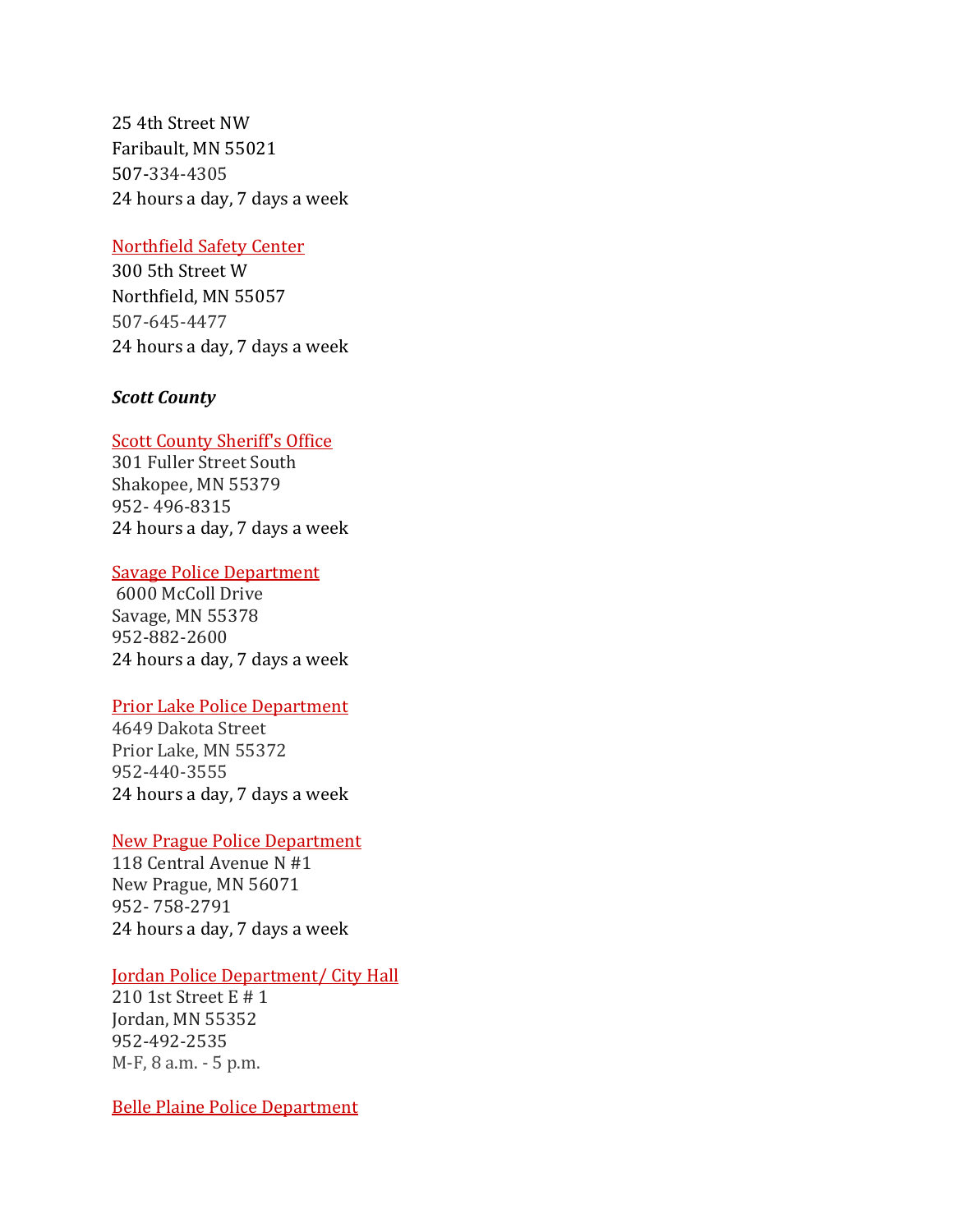25 4th Street NW Faribault, MN 55021 507‐334‐4305 24 hours a day, 7 days a week

#### Northfield Safety Center

300 5th Street W Northfield, MN 55057 507‐645‐4477 24 hours a day, 7 days a week

## *Scott County*

#### Scott County Sheriff's Office

301 Fuller Street South Shakopee, MN 55379 952‐ 496‐8315 24 hours a day, 7 days a week

#### Savage Police Department

 6000 McColl Drive Savage, MN 55378 952‐882‐2600 24 hours a day, 7 days a week

#### Prior Lake Police Department

4649 Dakota Street Prior Lake, MN 55372 952‐440‐3555 24 hours a day, 7 days a week

## New Prague Police Department

118 Central Avenue N #1 New Prague, MN 56071 952‐ 758‐2791 24 hours a day, 7 days a week

## Jordan Police Department/ City Hall

210 1st Street E # 1 Jordan, MN 55352 952‐492‐2535 M‐F, 8 a.m. ‐ 5 p.m.

Belle Plaine Police Department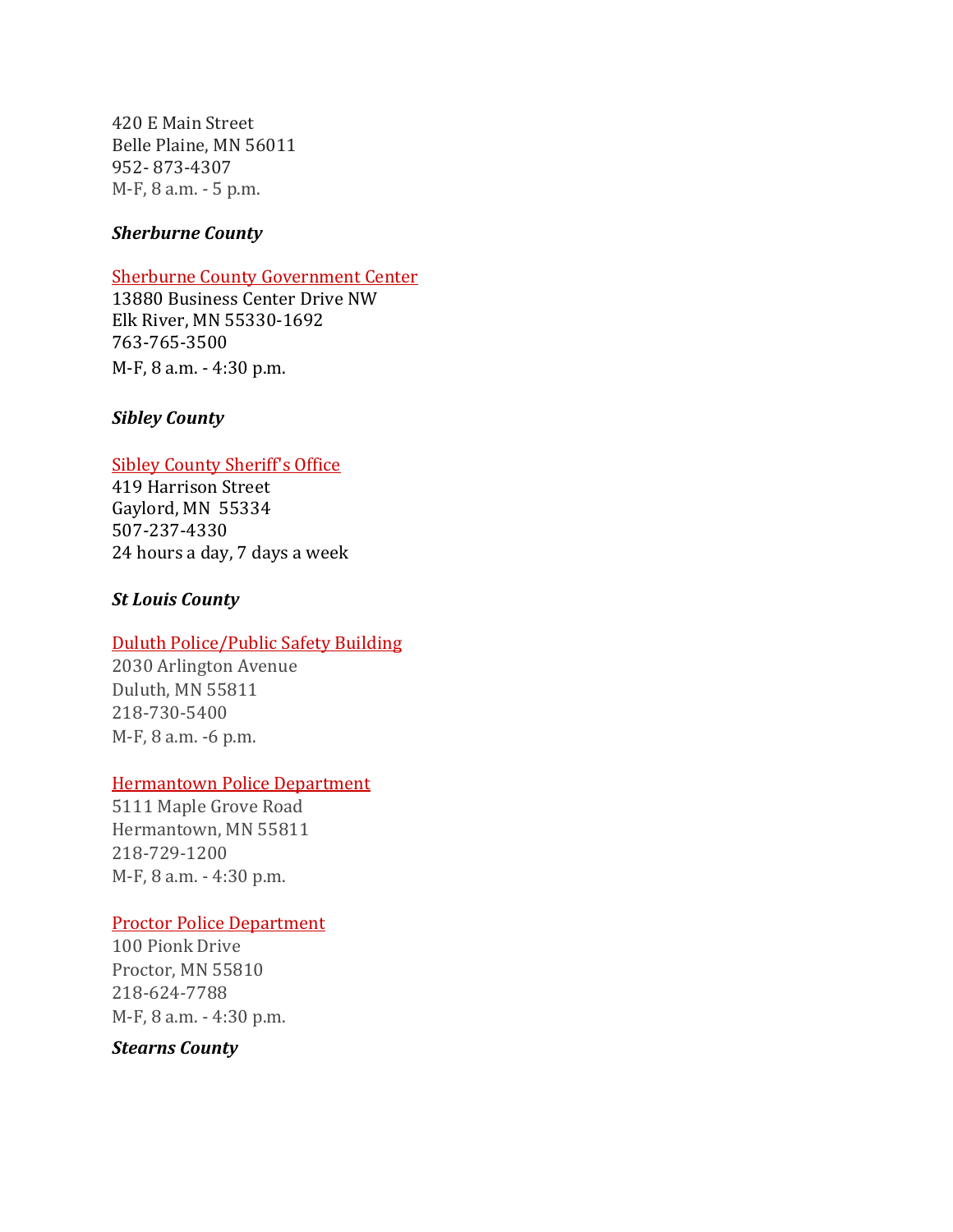420 E Main Street Belle Plaine, MN 56011 952‐ 873‐4307 M‐F, 8 a.m. ‐ 5 p.m.

## *Sherburne County*

#### Sherburne County Government Center

13880 Business Center Drive NW Elk River, MN 55330‐1692 763‐765‐3500 M‐F, 8 a.m. ‐ 4:30 p.m.

#### *Sibley County*

#### Sibley County Sheriff's Office

419 Harrison Street Gaylord, MN 55334 507‐237‐4330 24 hours a day, 7 days a week

#### *St Louis County*

#### Duluth Police/Public Safety Building

2030 Arlington Avenue Duluth, MN 55811 218‐730‐5400 M‐F, 8 a.m. ‐6 p.m.

#### Hermantown Police Department

5111 Maple Grove Road Hermantown, MN 55811 218‐729‐1200 M‐F, 8 a.m. ‐ 4:30 p.m.

#### Proctor Police Department

100 Pionk Drive Proctor, MN 55810 218‐624‐7788 M‐F, 8 a.m. ‐ 4:30 p.m.

*Stearns County*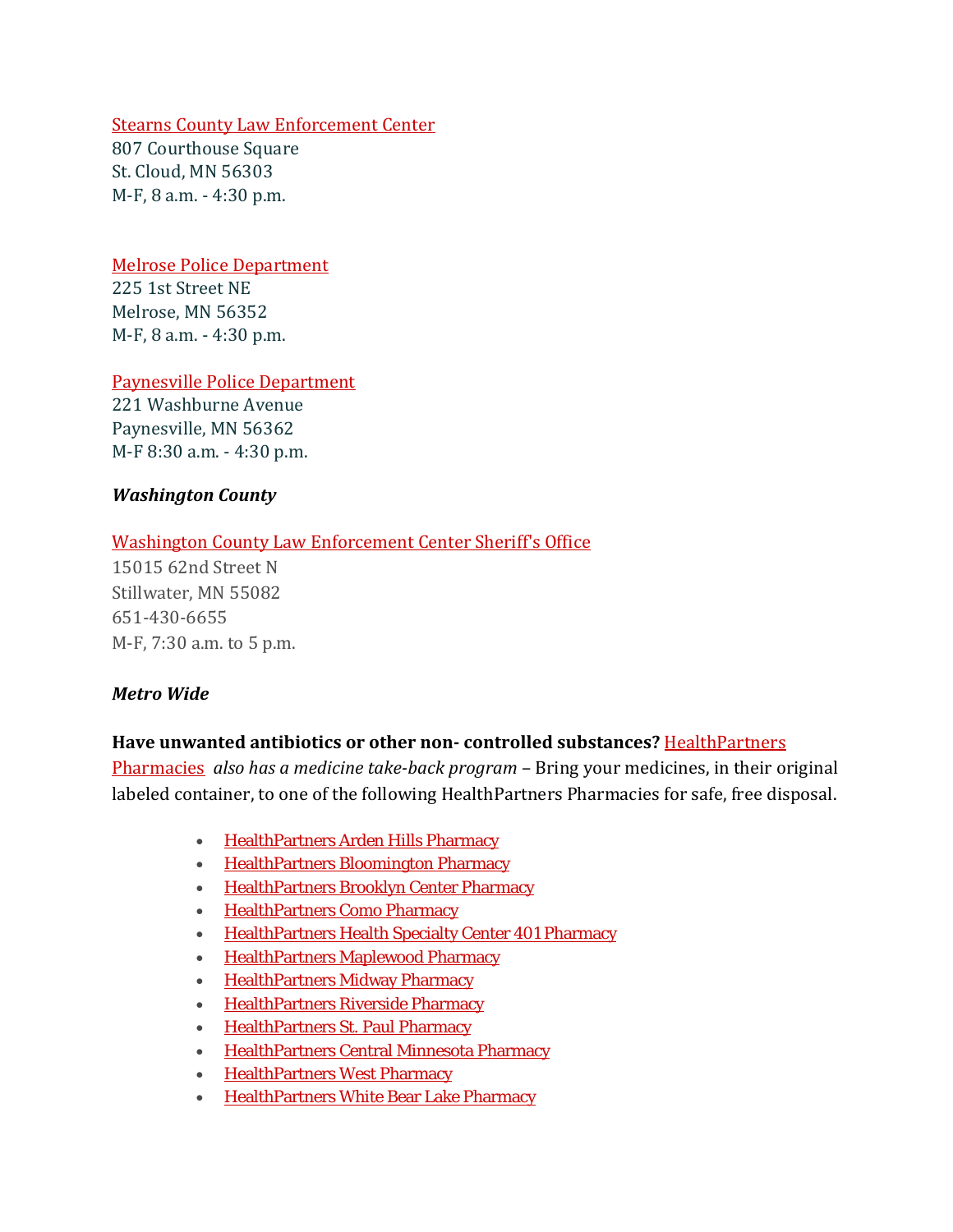## Stearns County Law Enforcement Center

807 Courthouse Square St. Cloud, MN 56303 M‐F, 8 a.m. ‐ 4:30 p.m.

# Melrose Police Department

225 1st Street NE Melrose, MN 56352 M‐F, 8 a.m. ‐ 4:30 p.m.

Paynesville Police Department

221 Washburne Avenue Paynesville, MN 56362 M‐F 8:30 a.m. ‐ 4:30 p.m.

## *Washington County*

## Washington County Law Enforcement Center Sheriff's Office

15015 62nd Street N Stillwater, MN 55082 651‐430‐6655 M‐F, 7:30 a.m. to 5 p.m.

## *Metro Wide*

## **Have unwanted antibiotics or other non controlled substances?** HealthPartners

Pharmacies *also has a medicine takeback program* – Bring your medicines, in their original labeled container, to one of the following HealthPartners Pharmacies for safe, free disposal.

- HealthPartners Arden Hills Pharmacy
- HealthPartners Bloomington Pharmacy
- **HealthPartners Brooklyn Center Pharmacy**
- HealthPartners Como Pharmacy
- HealthPartners Health Specialty Center 401 Pharmacy
- HealthPartners Maplewood Pharmacy
- HealthPartners Midway Pharmacy
- HealthPartners Riverside Pharmacy
- HealthPartners St. Paul Pharmacy
- HealthPartners Central Minnesota Pharmacy
- HealthPartners West Pharmacy
- HealthPartners White Bear Lake Pharmacy